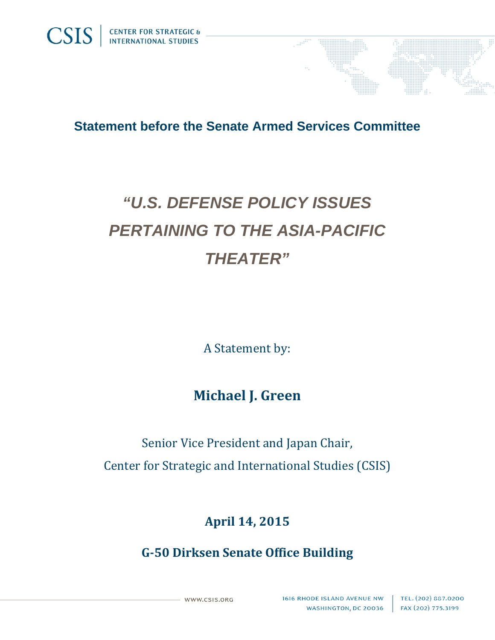

## *"U.S. DEFENSE POLICY ISSUES PERTAINING TO THE ASIA-PACIFIC THEATER"*

A Statement by:

## **Michael J. Green**

Senior Vice President and Japan Chair, Center for Strategic and International Studies (CSIS)

## **April 14, 2015**

**G‐50 Dirksen Senate Office Building**

WWW.CSIS.ORG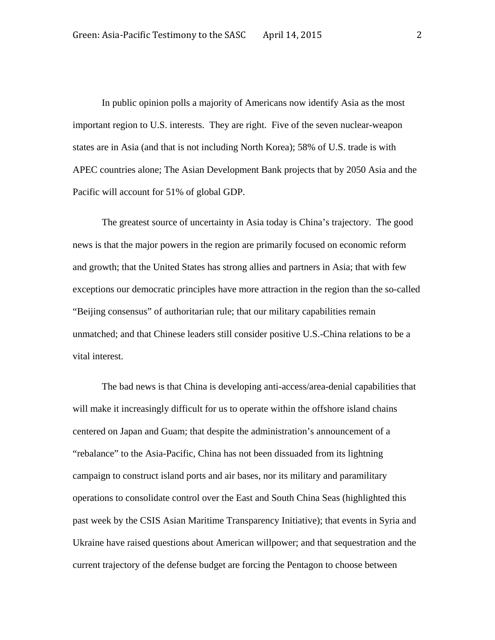In public opinion polls a majority of Americans now identify Asia as the most important region to U.S. interests. They are right. Five of the seven nuclear-weapon states are in Asia (and that is not including North Korea); 58% of U.S. trade is with APEC countries alone; The Asian Development Bank projects that by 2050 Asia and the Pacific will account for 51% of global GDP.

The greatest source of uncertainty in Asia today is China's trajectory. The good news is that the major powers in the region are primarily focused on economic reform and growth; that the United States has strong allies and partners in Asia; that with few exceptions our democratic principles have more attraction in the region than the so-called "Beijing consensus" of authoritarian rule; that our military capabilities remain unmatched; and that Chinese leaders still consider positive U.S.-China relations to be a vital interest.

The bad news is that China is developing anti-access/area-denial capabilities that will make it increasingly difficult for us to operate within the offshore island chains centered on Japan and Guam; that despite the administration's announcement of a "rebalance" to the Asia-Pacific, China has not been dissuaded from its lightning campaign to construct island ports and air bases, nor its military and paramilitary operations to consolidate control over the East and South China Seas (highlighted this past week by the CSIS Asian Maritime Transparency Initiative); that events in Syria and Ukraine have raised questions about American willpower; and that sequestration and the current trajectory of the defense budget are forcing the Pentagon to choose between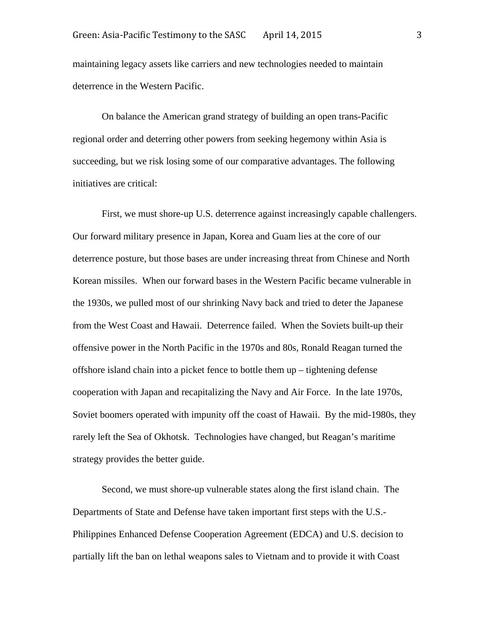maintaining legacy assets like carriers and new technologies needed to maintain deterrence in the Western Pacific.

On balance the American grand strategy of building an open trans-Pacific regional order and deterring other powers from seeking hegemony within Asia is succeeding, but we risk losing some of our comparative advantages. The following initiatives are critical:

First, we must shore-up U.S. deterrence against increasingly capable challengers. Our forward military presence in Japan, Korea and Guam lies at the core of our deterrence posture, but those bases are under increasing threat from Chinese and North Korean missiles. When our forward bases in the Western Pacific became vulnerable in the 1930s, we pulled most of our shrinking Navy back and tried to deter the Japanese from the West Coast and Hawaii. Deterrence failed. When the Soviets built-up their offensive power in the North Pacific in the 1970s and 80s, Ronald Reagan turned the offshore island chain into a picket fence to bottle them up – tightening defense cooperation with Japan and recapitalizing the Navy and Air Force. In the late 1970s, Soviet boomers operated with impunity off the coast of Hawaii. By the mid-1980s, they rarely left the Sea of Okhotsk. Technologies have changed, but Reagan's maritime strategy provides the better guide.

Second, we must shore-up vulnerable states along the first island chain. The Departments of State and Defense have taken important first steps with the U.S.- Philippines Enhanced Defense Cooperation Agreement (EDCA) and U.S. decision to partially lift the ban on lethal weapons sales to Vietnam and to provide it with Coast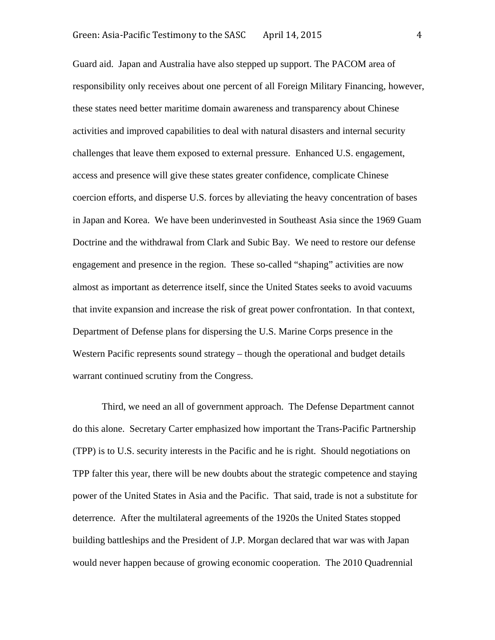Guard aid. Japan and Australia have also stepped up support. The PACOM area of responsibility only receives about one percent of all Foreign Military Financing, however, these states need better maritime domain awareness and transparency about Chinese activities and improved capabilities to deal with natural disasters and internal security challenges that leave them exposed to external pressure. Enhanced U.S. engagement, access and presence will give these states greater confidence, complicate Chinese coercion efforts, and disperse U.S. forces by alleviating the heavy concentration of bases in Japan and Korea. We have been underinvested in Southeast Asia since the 1969 Guam Doctrine and the withdrawal from Clark and Subic Bay. We need to restore our defense engagement and presence in the region. These so-called "shaping" activities are now almost as important as deterrence itself, since the United States seeks to avoid vacuums that invite expansion and increase the risk of great power confrontation. In that context, Department of Defense plans for dispersing the U.S. Marine Corps presence in the Western Pacific represents sound strategy – though the operational and budget details warrant continued scrutiny from the Congress.

Third, we need an all of government approach. The Defense Department cannot do this alone. Secretary Carter emphasized how important the Trans-Pacific Partnership (TPP) is to U.S. security interests in the Pacific and he is right. Should negotiations on TPP falter this year, there will be new doubts about the strategic competence and staying power of the United States in Asia and the Pacific. That said, trade is not a substitute for deterrence. After the multilateral agreements of the 1920s the United States stopped building battleships and the President of J.P. Morgan declared that war was with Japan would never happen because of growing economic cooperation. The 2010 Quadrennial